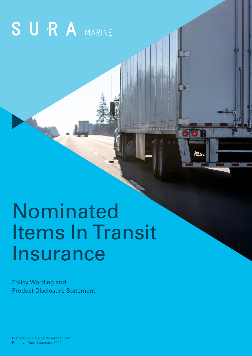# SURA MARINE

# Nominated Items In Transit Insurance

Policy Wording and Product Disclosure Statement

Preparation Date 11 November 2021 Effective Date 1 January 2022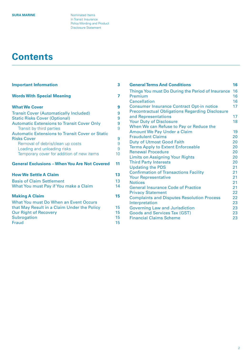# **Contents**

| <b>Important Information</b>                                                                                                                               | 3                    |  |
|------------------------------------------------------------------------------------------------------------------------------------------------------------|----------------------|--|
| <b>Words With Special Meaning</b>                                                                                                                          | 7                    |  |
| <b>What We Cover</b>                                                                                                                                       | 9                    |  |
| <b>Transit Cover (Automatically Included)</b>                                                                                                              | 9                    |  |
| <b>Static Risks Cover (Optional)</b>                                                                                                                       | 9                    |  |
| <b>Automatic Extensions to Transit Cover Only</b>                                                                                                          | 9                    |  |
| Transit by third parties                                                                                                                                   | 9                    |  |
| <b>Automatic Extensions to Transit Cover or Static</b>                                                                                                     |                      |  |
| <b>Risks Cover</b>                                                                                                                                         | 9                    |  |
| Removal of debris/clean up costs                                                                                                                           | 9                    |  |
| Loading and unloading risks                                                                                                                                | 9                    |  |
| Temporary cover for addition of new items                                                                                                                  | 10 <sup>1</sup>      |  |
| <b>General Exclusions - When You Are Not Covered</b>                                                                                                       | 11                   |  |
| <b>How We Settle A Claim</b>                                                                                                                               | 13                   |  |
| <b>Basis of Claim Settlement</b>                                                                                                                           | 13                   |  |
| What You must Pay if You make a Claim                                                                                                                      | 14                   |  |
| <b>Making A Claim</b>                                                                                                                                      | 15                   |  |
| What You must Do When an Event Occurs<br>that May Result in a Claim Under the Policy<br><b>Our Right of Recovery</b><br><b>Subrogation</b><br><b>Fraud</b> | 15<br>15<br>15<br>15 |  |

| <b>General Terms And Conditions</b>                    | 16 |
|--------------------------------------------------------|----|
| Things You must Do During the Period of Insurance      | 16 |
| Premium                                                | 16 |
| Cancellation                                           | 16 |
| <b>Consumer Insurance Contract Opt-in notice</b>       | 17 |
| <b>Precontractual Obligations Regarding Disclosure</b> |    |
| and Representations                                    | 17 |
| <b>Your Duty of Disclosure</b>                         | 18 |
| When We can Refuse to Pay or Reduce the                |    |
| Amount We Pay Under a Claim                            | 19 |
| <b>Fraudulent Claims</b>                               | 20 |
| Duty of Utmost Good Faith                              | 20 |
| <b>Terms Apply to Extent Enforceable</b>               | 20 |
| <b>Renewal Procedure</b>                               | 20 |
| Limits on Assigning Your Rights                        | 20 |
| <b>Third Party Interests</b>                           | 20 |
| <b>Updating the PDS</b>                                | 21 |
| <b>Confirmation of Transactions Facility</b>           | 21 |
| <b>Your Representative</b>                             | 21 |
| <b>Notices</b>                                         | 21 |
| <b>General Insurance Code of Practice</b>              | 21 |
| <b>Privacy Statement</b>                               | 22 |
| <b>Complaints and Disputes Resolution Process</b>      | 22 |
| Interpretation                                         | 23 |
| <b>Governing Law and Jurisdiction</b>                  | 23 |
| <b>Goods and Services Tax (GST)</b>                    | 23 |
| <b>Financial Claims Scheme</b>                         | 23 |
|                                                        |    |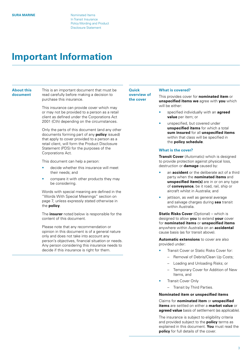# <span id="page-2-0"></span>**Important Information**

#### **About this document**

This is an important document that must be read carefully before making a decision to purchase this insurance.

This insurance can provide cover which may or may not be provided to a person as a retail client as defined under the Corporations Act 2001 (Cth) depending on the circumstances.

Only the parts of this document (and any other documents forming part of any **policy** issued) that apply to cover provided to a person as a retail client, will form the Product Disclosure Statement (PDS) for the purposes of the Corporations Act.

This document can help a person:

- decide whether this insurance will meet their needs; and
- compare it with other products they may be considering.

Words with special meaning are defined in the "Words With Special Meanings" section on page 7, unless expressly stated otherwise in the **policy**.

The **insurer** noted below is responsible for the content of this document.

Please note that any recommendation or opinion in this document is of a general nature only and does not take into account any person's objectives, financial situation or needs. Any person considering this insurance needs to decide if this insurance is right for them.

#### **Quick overview of the cover**

# **What is covered?**

This provides cover for **nominated item** or **unspecified items we** agree with **you** which will be either:

- specified individually with an **agreed value** per item; or
- unspecified, but covered under **unspecified items** for which a total **sum insured** for all **unspecified items** within that class will be specified in the **policy schedule**.

# **What is the cover?**

**Transit Cover** (Automatic) which is designed to provide protection against physical loss, destruction or **damage** caused by:

- an **accident** or the deliberate act of a third party when the **nominated items** and **unspecified item(s)** are in or on any type of **conveyance**, be it road, rail, ship or aircraft whilst in Australia; and
- jettison, as well as general average and salvage charges during **sea** transit within Australia.

**Static Risks Cover** (Optional) – which is designed to allow **you** to extend **your** cover for **nominated items** or **unspecified items** anywhere within Australia on an **accidental** cause basis (as for transit above).

**Automatic extensions** to cover are also provided under:

- Transit Cover or Static Risks Cover for:
	- Removal of Debris/Clean Up Costs;
	- Loading and Unloading Risks; or
	- Temporary Cover for Addition of New Items, and
- **Transit Cover Only** 
	- Transit by Third Parties.

#### **Nominated item or unspecified items**

Claims for **nominated item** or **unspecified items** are settled on either a **market value** or **agreed value** basis of settlement (as applicable).

The insurance is subject to eligibility criteria and provided subject to the **policy** terms as explained in this document. **You** must read the **policy** for full details of the cover.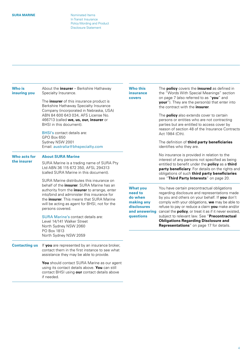| <b>Who is</b><br>insuring you | About the <i>insurer</i> - Berkshire Hathaway<br>Specialty Insurance.<br>The insurer of this insurance product is<br>Berkshire Hathaway Specialty Insurance<br>Company (incorporated in Nebraska, USA)<br>ABN 84 600 643 034, AFS License No.<br>466713 (called we, us, our, insurer or<br>BHSI in this document).<br><b>BHSI's contact details are:</b><br>GPO Box 650<br>Sydney NSW 2001                                                                                                                                                                                                                                                                       | <b>Who this</b><br><i>insurance</i><br>covers                                                    | The policy covers the insured as defined in<br>the "Words With Special Meanings" section<br>on page 7 (also referred to as "you" and<br>your"). They are the person(s) that enter into<br>the contract with the <b>insurer</b> .<br>The <b>policy</b> also extends cover to certain<br>persons or entities who are not contracting<br>parties but are entitled to access cover by<br>reason of section 48 of the Insurance Contracts<br>Act 1984 (Cth).<br>The definition of third party beneficiaries |
|-------------------------------|------------------------------------------------------------------------------------------------------------------------------------------------------------------------------------------------------------------------------------------------------------------------------------------------------------------------------------------------------------------------------------------------------------------------------------------------------------------------------------------------------------------------------------------------------------------------------------------------------------------------------------------------------------------|--------------------------------------------------------------------------------------------------|--------------------------------------------------------------------------------------------------------------------------------------------------------------------------------------------------------------------------------------------------------------------------------------------------------------------------------------------------------------------------------------------------------------------------------------------------------------------------------------------------------|
| Who acts for<br>the insurer   | Email: australia@bhspecialty.com<br><b>About SURA Marine</b><br>SURA Marine is a trading name of SURA Pty<br>Ltd ABN 36 115 672 350, AFSL 294313<br>(called SURA Marine in this document).<br>SURA Marine distributes this insurance on<br>behalf of the <i>insurer</i> . SURA Marine has an<br>authority from the insurer to arrange, enter<br>into/bind and administer this insurance for<br>the <i>insurer</i> . This means that SURA Marine<br>will be acting as agent for BHSI, not for the<br>persons covered.<br><b>SURA Marine's contact details are:</b><br>Level 14/141 Walker Street<br>North Sydney NSW 2060<br>PO Box 1813<br>North Sydney NSW 2059 |                                                                                                  | identifies who they are.<br>No insurance is provided in relation to the<br>interest of any persons not specified as being<br>entitled to benefit under the policy as a third<br>party beneficiary. For details on the rights and<br>obligations of such third party beneficiaries<br>see "Third Party Interests" on page 20.                                                                                                                                                                           |
|                               |                                                                                                                                                                                                                                                                                                                                                                                                                                                                                                                                                                                                                                                                  | <b>What you</b><br>need to<br>do when<br>making any<br>disclosures<br>and answering<br>questions | You have certain precontractual obligations<br>regarding disclosure and representations made<br>by you and others on your behalf. If you don't<br>comply with your obligations, we may be able to<br>refuse to pay or reduce a claim you make and/or<br>cancel the policy, or treat it as if it never existed,<br>subject to relevant law. See "Precontractual<br><b>Obligations Regarding Disclosure and</b><br>Representations" on page 17 for details.                                              |
| <b>Contacting us</b>          | If you are represented by an insurance broker,<br>contact them in the first instance to see what<br>assistance they may be able to provide.                                                                                                                                                                                                                                                                                                                                                                                                                                                                                                                      |                                                                                                  |                                                                                                                                                                                                                                                                                                                                                                                                                                                                                                        |
|                               | You should contact SURA Marine as our agent<br>using its contact details above. You can still<br>contact BHSI using our contact details above<br>if needed.                                                                                                                                                                                                                                                                                                                                                                                                                                                                                                      |                                                                                                  |                                                                                                                                                                                                                                                                                                                                                                                                                                                                                                        |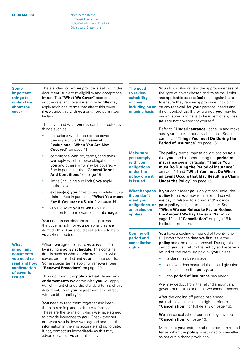# **Some important things to understand about the cover**

The standard cover **we** provide is set out in this document (subject to eligibility and acceptance by **us**). The "**What We Cover**" section sets out the relevant covers **we** provide. **We** may apply additional terms that affect this cover if **we** agree this with **you** or where permitted by law.

The cover and what **we** pay can be affected by things such as:

- exclusions which restrict the cover -See in particular the "**General Exclusions – When You Are Not Covered**" on page 11;
- compliance with any terms/conditions **we** apply which impose obligations on **you** and others who may be covered – See in particular the "**General Terms And Conditions**" on page 16;
- limits (including sub limits) **we** apply to the cover;
- **excess(es) you** have to pay in relation to a claim – See in particular "**What You must Pay if You make a Claim**" on page 14;
- any recovery **you** or **we** may make in relation to the relevant loss or **damage**.

**You** need to consider these things to see if the cover is right for **you** personally as **we** don't do this. **You** should seek advice to help **you** when needed.

**What important documents you need to read and how confirmation of cover is issued** 

Where **we** agree to insure **you**, **we** confirm this by issuing a **policy schedule**. This contains details such as what or who **we** insure, what covers are provided and **your** contact details. Some special terms apply for renewals. See "**Renewal Procedure**" on page 20.

This document, the **policy schedule** and any **endorsements we** agree with **you** will apply (which might change the standard terms of this document) form **your** agreement or contract with **us** (the "**policy**").

**You** need to read them together and keep them in a safe place for future reference. These are the terms on which **we** have agreed to provide insurance to **you**. Check they set out what **you** believe was agreed and that the information in them is accurate and up to date. If not, contact **us** immediately as this may adversely affect **your** right to cover.

# **The need to review suitability of cover, ongoing basis**

including on an on any renewal) for your personal needs and You should also review the appropriateness of the type of cover chosen and its terms, limits and applicable **excess(es)** on a regular basis to ensure they remain appropriate (including if not, contact **us**. If they are not, **you** may be underinsured and have to bear part of any loss **you** are not covered for yourself.

> Refer to "**Underinsurance**" page 14 and make sure **you** tell **us** about any changes – See in particular "**Things You must Do During the Period of Insurance**" on page 16.

| <b>Make sure</b>                                                                               | The <b>policy</b> terms impose obligations on you                                                                                                                                                                                                                                                                                                                 |
|------------------------------------------------------------------------------------------------|-------------------------------------------------------------------------------------------------------------------------------------------------------------------------------------------------------------------------------------------------------------------------------------------------------------------------------------------------------------------|
| <b>vou comply</b>                                                                              | that you need to meet during the period of                                                                                                                                                                                                                                                                                                                        |
| with your                                                                                      | <b>insurance</b> see in particular, "Things You                                                                                                                                                                                                                                                                                                                   |
| obligations                                                                                    | must Do During the Period of Insurance"                                                                                                                                                                                                                                                                                                                           |
| under the                                                                                      | on page 16 and "What You must Do When                                                                                                                                                                                                                                                                                                                             |
| policy once it                                                                                 | an Event Occurs that May Result in a Claim                                                                                                                                                                                                                                                                                                                        |
| is issued                                                                                      | <b>Under the Policy</b> " on page 15.                                                                                                                                                                                                                                                                                                                             |
| <b>What happens</b><br>if you don't<br>meet your<br>obligations, or<br>an exclusion<br>applies | If you don't meet your obligations under the<br><b>policy</b> terms we may refuse or reduce what<br>we pay in relation to a claim and/or cancel<br><b>your policy</b> , subject to relevant law. See<br>"When We can Refuse to Pay or Reduce<br>the Amount We Pay Under a Claim" on<br>page 19 and " <b>Cancellation</b> " on page 16 for<br>further information. |

# **Cooling off period and cancellation rights**

You have a cooling off period of twenty-one (21) days from the date **we** first issue the **policy** and also on any renewal. During this period, **you** can return the **policy** and receive a refund of the premium paid by **you** unless:

- a claim has been made;
- an event has occurred that could give rise to a claim on the **policy**; or
- the **period of insurance** has ended.

We may deduct from the refund amount any government taxes or duties we cannot recover.

After the cooling off period has ended, **you** still have cancellation rights (refer to "**Cancellation**" for full details on page 16).

**We** can cancel where permitted by law see "**Cancellation**" on page 16.

Make sure **you** understand the premium refund terms when the **policy** is returned or cancelled as set out in these provisions.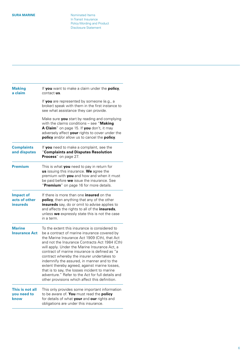| <b>Making</b><br>a claim                      | If you want to make a claim under the policy,<br>contact us.                                                                                                                                                                                                                                                                                                                                                                                                                                                                                                                                             |
|-----------------------------------------------|----------------------------------------------------------------------------------------------------------------------------------------------------------------------------------------------------------------------------------------------------------------------------------------------------------------------------------------------------------------------------------------------------------------------------------------------------------------------------------------------------------------------------------------------------------------------------------------------------------|
|                                               | If you are represented by someone (e.g., a<br>broker) speak with them in the first instance to<br>see what assistance they can provide.                                                                                                                                                                                                                                                                                                                                                                                                                                                                  |
|                                               | Make sure you start by reading and complying<br>with the claims conditions $-$ see "Making<br>A Claim" on page 15. If you don't, it may<br>adversely affect your rights to cover under the<br>policy and/or allow us to cancel the policy.                                                                                                                                                                                                                                                                                                                                                               |
| <b>Complaints</b><br>and disputes             | If you need to make a complaint, see the<br>"Complaints and Disputes Resolution<br>Process" on page 27.                                                                                                                                                                                                                                                                                                                                                                                                                                                                                                  |
| <b>Premium</b>                                | This is what you need to pay in return for<br>us issuing this insurance. We agree the<br>premium with you and how and when it must<br>be paid before we issue the insurance. See<br>"Premium" on page 16 for more details.                                                                                                                                                                                                                                                                                                                                                                               |
| <b>Impact of</b><br>acts of other<br>insureds | If there is more than one <b>insured</b> on the<br>policy, then anything that any of the other<br>insureds say, do or omit to advise applies to<br>and affects the rights to all of the insureds,<br>unless we expressly state this is not the case<br>in a term.                                                                                                                                                                                                                                                                                                                                        |
| <b>Marine</b><br><b>Insurance Act</b>         | To the extent this insurance is considered to<br>be a contract of marine insurance covered by<br>the Marine Insurance Act 1909 (Cth), that Act<br>and not the Insurance Contracts Act 1984 (Cth)<br>will apply. Under the Marine Insurance Act, a<br>contract of marine insurance is defined as "a<br>contract whereby the insurer undertakes to<br>indemnify the assured, in manner and to the<br>extent thereby agreed, against marine losses,<br>that is to say, the losses incident to marine<br>adventure." Refer to the Act for full details and<br>other provisions which affect this definition. |
| This is not all<br>you need to<br>know        | This only provides some important information<br>to be aware of. You must read the policy<br>for details of what your and our rights and<br>obligations are under this insurance.                                                                                                                                                                                                                                                                                                                                                                                                                        |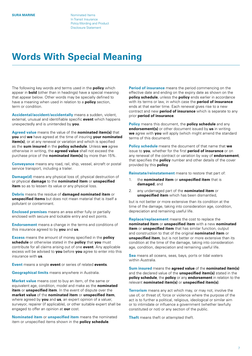# <span id="page-6-0"></span>**Words With Special Meaning**

The following key words and terms used in the **policy** which appear in **bold** (other than in headings) have a special meaning that appear below. Other words may be specially defined to have a meaning when used in relation to a **policy** section, term or condition.

**Accidental/accident/accidentally** means a sudden, violent, external, unusual and identifiable specific **event** which happens unexpectedly and is unintended by **you**.

**Agreed value** means the value of the **nominated item(s)** that **you** and **we** have agreed at the time of insuring **your nominated item(s)**, or at any renewal or variation and which is specified as the **sum insured** in the **policy schedule**. Unless **we** agree otherwise in writing, the **agreed value** shall not exceed the purchase price of the **nominated item(s)** by more than 15%.

**Conveyance** means any road, rail, ship, vessel, aircraft or postal service transport, including a trailer.

**Damage(d)** means any physical loss of, physical destruction of or physical **damage** to the **nominated item** or **unspecified item** so as to lessen its value or any physical loss.

**Debris** means the residue of **damaged nominated item** or **unspecified items** but does not mean material that is itself a pollutant or contaminant.

**Enclosed premises** means an area either fully or partially enclosed with secure and lockable entry and exit points.

**Endorsement** means a change in the terms and conditions of this insurance agreed to by **you** and **us**.

**Excess** means the amount of money specified in the **policy schedule** or otherwise stated in the **policy** that **you** must contribute for all claims arising out of one **event**. Any applicable excess will be advised to **you** before **you** agree to enter into this insurance with **us**.

**Event** means a single **event** or series of related **events**.

**Geographical limits** means anywhere in Australia.

**Market value** means cost to buy an item, of the same or equivalent age, condition, model and make as the **nominated item** or **unspecified item**. In the event of dispute over the **market value** of the **nominated item** or **unspecified item**, where agreed by **you** and **us**, an expert opinion of a valuer, surveyor, repairer (if applicable), or other suitable expert shall be engaged to offer an opinion at **our** cost.

**Nominated item** or **unspecified item** means the nominated item or unspecified items shown in the **policy schedule**.

**Period of insurance** means the period commencing on the effective date and ending on the expiry date as shown on the **policy schedule**, unless the **policy** ends earlier in accordance with its terms or law, in which case the **period of insurance** ends at that earlier time. Each renewal gives rise to a new contract and new **period of insurance** which is separate to any prior **period of insurance**.

**Policy** means this document, the **policy schedule** and any **endorsement(s)** or other document issued by **us** in writing **we** agree with **you** will apply (which might amend the standard terms of this document).

**Policy schedule** means the document of that name that **we** issue to **you**, whether for the first **period of insurance** or on any renewal of the contract or variation by way of **endorsement**, that specifies the **policy** number and other details of the cover provided by this **policy**.

**Reinstate/reinstatement** means to restore that part of:

- 1. the **nominated item** or **unspecified item** that is **damaged**; and
- 2. any undamaged part of the **nominated item** or **unspecified item** which has been dismantled,

but is not better or more extensive than its condition at the time of the damage, taking into consideration age, condition, depreciation and remaining useful life.

**Replace/replacement** means the cost to replace the **nominated item** or **unspecified item** with a new **nominated item** or **unspecified item** that has similar function, output and construction to that of the original **nominated item** or **unspecified item**, but is not better or more extensive than its condition at the time of the damage, taking into consideration age, condition, depreciation and remaining useful life.

**Sea** means all oceans, seas, bays, ports or tidal waters within Australia.

**Sum insured** means the **agreed value** of the **nominated item(s)** and the declared value of the **unspecified item(s)** stated in the **policy schedule**, the **policy** or any **endorsement** in relation to the relevant **nominated item(s)** or **unspecified item(s)**.

**Terrorism** means any act which may, or may not, involve the use of, or threat of, force or violence where the purpose of the act is to further a political, religious, ideological or similar aim or to intimidate or influence a government (whether lawfully constituted or not) or any section of the public.

**Theft** means theft or attempted theft.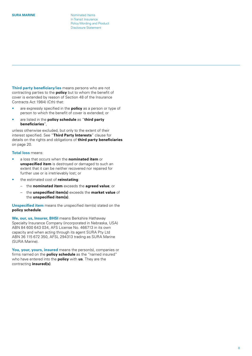**Third party beneficiary/ies** means persons who are not contracting parties to the **policy** but to whom the benefit of cover is extended by reason of Section 48 of the Insurance Contracts Act 1984) (Cth) that:

- are expressly specified in the **policy** as a person or type of person to which the benefit of cover is extended; or
- are listed in the **policy schedule** as "**third party beneficiaries**",

unless otherwise excluded, but only to the extent of their interest specified. See "**Third Party Interests**" clause for details on the rights and obligations of **third party beneficiaries** on page 20.

#### **Total loss** means:

- a loss that occurs when the **nominated item** or **unspecified item** is destroyed or damaged to such an extent that it can be neither recovered nor repaired for further use or is irretrievably lost; or
- the estimated cost of **reinstating**:
	- the **nominated item** exceeds the **agreed value**; or
	- the **unspecified item(s)** exceeds the **market value** of the **unspecified item(s)**.

**Unspecified item** means the unspecified item(s) stated on the **policy schedule**.

**We, our, us, Insurer, BHSI** means Berkshire Hathaway Specialty Insurance Company (incorporated in Nebraska, USA) ABN 84 600 643 034, AFS License No. 466713 in its own capacity and when acting through its agent SURA Pty Ltd ABN 36 115 672 350, AFSL 294313 trading as SURA Marine (SURA Marine).

**You, your, yours, insured** means the person(s), companies or firms named on the **policy schedule** as the "named insured" who have entered into the **policy** with **us**. They are the contracting **insured(s)**.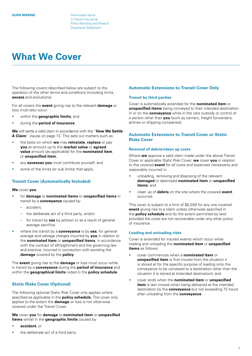# <span id="page-8-0"></span>**What We Cover**

The following covers described below are subject to the operation of the other terms and conditions (including limits, **excess** and exclusions).

For all covers the **event** giving rise to the relevant **damage** or loss must also occur:

- within the **geographic limits**; and
- during the **period of insurance**.

**We** will settle a valid claim in accordance with the "**How We Settle A Claim**" clause on page 13. This sets out matters such as:

- the basis on which **we** may **reinstate**, **replace** or pay **you** an amount up to the **market value** or **agreed value** amount (as applicable) for the **nominated item** or **unspecified item**;
- any **excesses you** must contribute yourself; and
- some of the limits (or sub limits) that apply.

# **Transit Cover (Automatically Included)**

#### **We** cover **you**:

- for **damage** to **nominated items** or **unspecified items** in transit by a **conveyance** caused by:
	- accident;
	- the deliberate act of a third party; and/or
	- for transit by **sea** by jettison or as a result of general average sacrifice.
- where the transit by a **conveyance** is by **sea**, for general average and salvage charges incurred by **you** in relation to the **nominated item** or **unspecified items**, in accordance with the contract of affreightment and the governing law and practice, incurred in connection with avoiding the **damage** covered by the **policy**.

The **event** giving rise to the **damage** or loss must occur while in transit by a **conveyance** during the **period of insurance** and within the **geographical limits** noted in the **policy schedule**.

# **Static Risks Cover (Optional)**

The following optional Static Risk Cover only applies where specified as applicable in the **policy schedule**. The cover only applies to the extent the **damage** or loss is not otherwise covered under the Transit Cover.

**We** cover **you** for **damage** to **nominated item** or **unspecified items** whilst in the **geographic limits** caused by:

- **accident**; or
- the deliberate act of a third party.

# **Automatic Extensions to Transit Cover Only**

### **Transit by third parties**

Cover is automatically extended for the **nominated item** or **unspecified items** being conveyed to their intended destination in or on the **conveyance** while in the care custody or control of a person other than **you** (such as carriers, freight forwarders, airlines or shipping companies).

# **Automatic Extensions to Transit Cover or Static Risks Cover**

# **Removal of debris/clean up costs**

Where **we** approve a valid claim made under the above Transit Cover or applicable Static Risk Cover, **we** cover **you** in relation to the covered **event** for all costs and expenses necessarily and reasonably incurred in:

- unloading, removing and disposing of the relevant **damaged** or destroyed **nominated item** or **unspecified items**; and
- clean up of **debris** on the site where the covered **event** occurred.

This cover is subject to a limit of \$5,000 for any one covered **event** giving rise to a claim unless otherwise specified in the **policy schedule** and (to the extent permitted by law) provided the costs are not recoverable under any other policy of insurance.

### **Loading and unloading risks**

Cover is extended for insured events which occur while loading and unloading the **nominated item** or **unspecified items** as follows:

- cover commences when a **nominated item** or **unspecified item** is first moved from the situation it is stored at for the specific purpose of loading onto the conveyance to be conveyed to a destination other than the situation it is stored at (intended destination); and
- cover ends when the **nominated item** or **unspecified item** is last moved when being delivered at the intended destination by the **conveyance** but not exceeding 72 hours after unloading from the **conveyance**.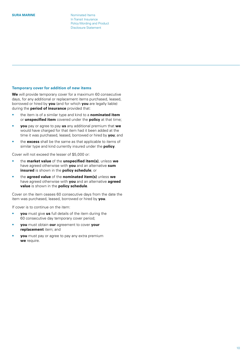# <span id="page-9-0"></span>**Temporary cover for addition of new items**

**We** will provide temporary cover for a maximum 60 consecutive days, for any additional or replacement items purchased, leased, borrowed or hired by **you** (and for which **you** are legally liable) during the **period of insurance** provided that:

- the item is of a similar type and kind to a **nominated item** or **unspecified item** covered under the **policy** at that time;
- **you** pay or agree to pay **us** any additional premium that **we** would have charged for that item had it been added at the time it was purchased, leased, borrowed or hired by **you**; and
- the **excess** shall be the same as that applicable to items of similar type and kind currently insured under the **policy**.

Cover will not exceed the lesser of \$5,000 or:

- the **market value** of the **unspecified item(s)**, unless **we** have agreed otherwise with **you** and an alternative **sum insured** is shown in the **policy schedule**; or
- the **agreed value** of the **nominated item(s)** unless **we** have agreed otherwise with **you** and an alternative **agreed value** is shown in the **policy schedule**.

Cover on the item ceases 60 consecutive days from the date the item was purchased, leased, borrowed or hired by **you**.

If cover is to continue on the item:

- **you** must give **us** full details of the item during the 60 consecutive day temporary cover period;
- **you** must obtain **our** agreement to cover **your replacement** item; and
- **you** must pay or agree to pay any extra premium **we** require.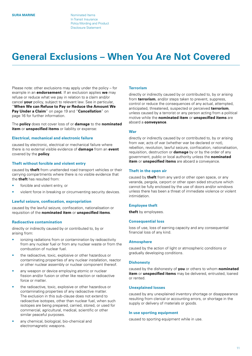# <span id="page-10-0"></span>**General Exclusions – When You Are Not Covered**

Please note: other exclusions may apply under the policy – for example in an **endorsement**. If an exclusion applies **we** may refuse or reduce what we pay in relation to a claim and/or cancel **your** policy, subject to relevant law. See in particular, "**When We can Refuse to Pay or Reduce the Amount We Pay Under a Claim**" on page 19 and "**Cancellation**" on page 16 for further information.

The **policy** does not cover loss of or **damage** to the **nominated item** or **unspecified items** or liability or expense:

#### **Electrical, mechanical and electronic failure**

caused by electronic, electrical or mechanical failure where there is no external visible evidence of **damage** from an **event** covered by the **policy**.

#### **Theft without forcible and violent entry**

caused by **theft** from unattended road transport vehicles or their carrying compartments where there is no visible evidence that the **theft** has resulted from:

- forcible and violent entry, or
- violent force in breaking or circumventing security devices.

### **Lawful seizure, confiscation, expropriation**

caused by the lawful seizure, confiscation, nationalisation or requisition of the **nominated item** or **unspecified items**.

# **Radioactive contamination**

directly or indirectly caused by or contributed to, by or arising from:

- ionizing radiations from or contamination by radioactivity from any nuclear fuel or from any nuclear waste or from the combustion of nuclear fuel.
- the radioactive, toxic, explosive or other hazardous or contaminating properties of any nuclear installation, reactor or other nuclear assembly or nuclear component thereof.
- any weapon or device employing atomic or nuclear fission and/or fusion or other like reaction or radioactive force or matter.
- the radioactive, toxic, explosive or other hazardous or contaminating properties of any radioactive matter. The exclusion in this sub-clause does not extend to radioactive isotopes, other than nuclear fuel, when such isotopes are being prepared, carried, stored, or used for commercial, agricultural, medical, scientific or other similar peaceful purposes.
- any chemical, biological, bio-chemical and electromagnetic weapons.

#### **Terrorism**

directly or indirectly caused by or contributed to, by or arising from **terrorism**, and/or steps taken to prevent, suppress, control or reduce the consequences of any actual, attempted, anticipated, threatened, suspected or perceived **terrorism**, unless caused by a terrorist or any person acting from a political motive while the **nominated item** or **unspecified items** are aboard a **conveyance**.

#### **War**

directly or indirectly caused by or contributed to, by or arising from war, acts of war (whether war be declared or not), rebellion, revolution, lawful seizure, confiscation, nationalisation, requisition, destruction or **damage** by or by the order of any government, public or local authority unless the **nominated item** or **unspecified items** are aboard a conveyance.

#### **Theft in the open air**

caused by **theft** from any yard or other open space, or any veranda, pergola, carport or other open sided structure which cannot be fully enclosed by the use of doors and/or windows unless there has been a threat of immediate violence or violent intimidation.

# **Employee theft**

**theft** by employees.

#### **Consequential loss**

loss of use, loss of earning capacity and any consequential financial loss of any kind.

#### **Atmosphere**

caused by the action of light or atmospheric conditions or gradually developing conditions.

#### **Dishonesty**

caused by the dishonesty of **you** or others to whom **nominated item** or **unspecified items** may be delivered, entrusted, loaned or rented.

#### **Unexplained losses**

caused by any unexplained inventory shortage or disappearance resulting from clerical or accounting errors, or shortage in the supply or delivery of materials or goods.

#### **In use sporting equipment**

caused to sporting equipment while in use.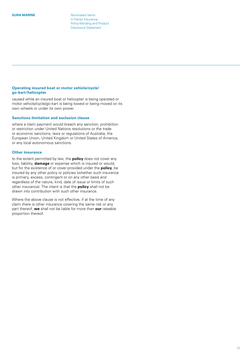# **Operating insured boat or motor vehicle/cycle/ go-kart/helicopter**

caused while an insured boat or helicopter is being operated or motor vehicle/cycle/go-kart is being towed or being moved on its own wheels or under its own power.

# **Sanctions limitation and exclusion clause**

where a claim payment would breach any sanction, prohibition or restriction under United Nations resolutions or the trade or economic sanctions, laws or regulations of Australia, the European Union, United Kingdom or United States of America, or any local autonomous sanctions.

# **Other insurance**

to the extent permitted by law, the **policy** does not cover any loss, liability, **damage** or expense which is insured or would, but for the existence of or cover provided under the **policy**, be insured by any other policy or policies (whether such insurance is primary, excess, contingent or on any other basis and regardless of the nature, kind, date of issue or limits of such other insurance). The intent is that the **policy** shall not be drawn into contribution with such other insurance.

Where the above clause is not effective, if at the time of any claim there is other insurance covering the same risk or any part thereof, **we** shall not be liable for more than **our** rateable proportion thereof.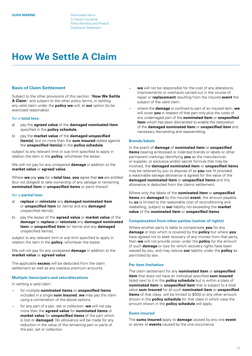# <span id="page-12-0"></span>**How We Settle A Claim**

### **Basis of Claim Settlement**

Subject to the other provisions of this section "**How We Settle A Claim**" and subject to the other policy terms, in settling any valid claim under the **policy we** will, at **our** option (to be exercised reasonably):

#### for a **total loss:**

- a) pay the **agreed value** of the **damaged nominated item** specified in the **policy schedule**;
- b) pay the **market value** of the **damaged unspecified item(s)**, but no more than the **sum insured** stated against the **unspecified item(s)** in the **policy schedule**,

subject to any relevant limit or sub limit specified to apply in relation the item in the **policy**, whichever the lesser.

We will not pay for any unrepaired **damage** in addition to the **market value** or **agreed value**.

Where **we** pay **you** for a **total loss**, **you** agree that **we** are entitled (but not obliged) to take ownership of any salvage or remaining **nominated item** or **unspecified items** or parts thereof.

#### for a **partial loss:**

- a) **replace** or **reinstate** any **damaged nominated item** or **unspecified item** (or items) and any **damaged** unspecified item(s);
- b) pay the lesser of the **agreed value** or **market value** of the **damage** to **replace** or **reinstate** any **damaged nominated item** or **unspecified item** (or items) and any **damaged** unspecified item(s),

subject to any relevant limit or sub limit specified to apply in relation the item in the **policy**, whichever the lesser.

We will not pay for any unrepaired **damage** in addition to the **market value** or **agreed value**.

The applicable **excess** will be deducted from the claim settlement as well as any overdue premium amounts.

### **Multiple items/pairs and sets/alterations**

In settling a valid claim:

- for multiple **nominated items** or **unspecified items** included in a single **sum insured**, **we** may pay the claim using a combination of the above options.
- for any part of a pair, set or collection: **we** will not pay more than the **agreed value** for **nominated items** or **market value** for **unspecified items** of the part which is lost or **damaged**. No allowance will be made for any reduction in the value of the remaining part or parts of the pair, set or collection.
- we will not be responsible for the cost of any alterations, improvements or overhauls carried out in the course of repair or **replacement** resulting from the insured **event** the subject of the valid claim.
- − where the **damage** is confined to part of an insured item, **we** will cover **you** in respect of that part only plus the costs of any undamaged part of the **nominated item** or **unspecified item** which has been dismantled to enable the restoration of the **damaged nominated item** or **unspecified item** and necessary dismantling and reassembling.

#### **Brands/labels**

In the event of **damage** of **nominated item** or **unspecified items** bearing embossed or indented brands or labels or other permanent markings identifying **you** as the manufacturer or supplier, or exclusive and/or secret formula that may be involved, the **damaged nominated item** or **unspecified items** may be retained by you to dispose of as **you** see fit provided a reasonable salvage allowance is agreed for the value of the **damaged nominated item** or **unspecified items** and this allowance is deducted from the claims settlement.

Where only the labels of the **nominated item** or **unspecified items** are **damaged** by the insured **event**, the amount payable by **us** is limited to the reasonable cost of reconditioning and relabelling, subject to **our** liability not exceeding the **market value** of the **nominated item** or **unspecified items**.

#### **Compensation from other parties (waiver of rights)**

Where another party is liable to compensate **you** for any **damage** or loss which is covered by the **policy** but where **you** have agreed not to seek recovery of any monies from that party, then **we** will not provide cover under the **policy** for the amount of such **damage** or loss for which recovery rights have been waived by you, and may reduce **our** liability under the **policy** as permitted by law.

#### **Per item limitation**

The claim settlement for any **nominated item** or **unspecified item** that does not have an individual specified **sum insured** listed next to it in the **policy schedule** but is within a class of **nominated item** or **unspecified item** that is subject to a total value **sum insured** for all such **nominated item** or **unspecified items** of that class, will be limited to \$500 or any other amount shown in the **policy schedule** for that class in which case the amount shown in the **policy schedule** will apply.

#### **Sums insured**

The **sums insured** apply to **damage** caused by any one **event** or series of **events** caused by the one occurrence.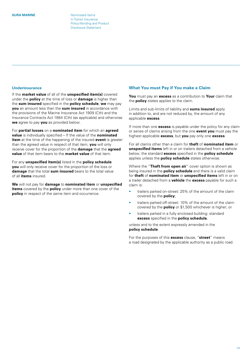#### <span id="page-13-0"></span>**Underinsurance**

If the **market value** of all of the **unspecified item(s)** covered under the **policy** at the time of loss or **damage** is higher than the **sum insured** specified in the **policy schedule**, **we** may pay **you** an amount less than the **sum insured** in accordance with the provisions of the Marine Insurance Act 1909 (Cth) and the Insurance Contracts Act 1984 (Cth) (as applicable) and otherwise **we** agree to pay **you** as provided below.

For **partial losses** on a **nominated item** for which an **agreed value** is individually specified – If the value of the **nominated item** at the time of the happening of the insured **event** is greater than the agreed value in respect of that item, **you** will only receive cover for the proportion of the **damage** that the **agreed value** of that item bears to the **market value** of that item.

For any **unspecified item(s)** listed in the **policy schedule you** will only receive cover for the proportion of the loss or **damage** that the total **sum insured** bears to the total value of all **items** insured.

**We** will not pay for **damage** to **nominated item** or **unspecified items** covered by the **policy** under more than one cover of the **policy** in respect of the same item and occurrence.

# **What You must Pay if You make a Claim**

**You** must pay an **excess** as a contribution to **Your** claim that the **policy** states applies to the claim.

Limits and sub-limits of liability and **sums insured** apply in addition to, and are not reduced by, the amount of any applicable **excess**.

If more than one **excess** is payable under the policy for any claim or series of claims arising from the one **event you** must pay the highest applicable **excess**, but **you** pay only one **excess**.

For all claims other than a claim for **theft** of **nominated item** or **unspecified items** left in or on trailers detached from a vehicle below, the standard **excess** specified in the **policy schedule** applies unless the **policy schedule** states otherwise.

Where the "**Theft from open air**" cover option is shown as being insured in the **policy schedule** and there is a valid claim for **theft** of **nominated item** or **unspecified items** left in or on a trailer detached from a **vehicle** the **excess** payable for such a claim is:

- trailers parked on-street: 25% of the amount of the claim covered by the **policy**;
- trailers parked off-street: 10% of the amount of the claim covered by the **policy** or \$1,500 whichever is higher; or
- trailers parked in a fully enclosed building: standard **excess** specified in the **policy schedule**,

unless and to the extent expressly amended in the **policy schedule**.

For the purposes of this **excess** clause, "**street**" means a road designated by the applicable authority as a public road.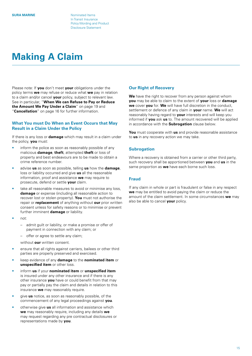# <span id="page-14-0"></span>**Making A Claim**

Please note: If **you** don't meet **your** obligations under the policy terms **we** may refuse or reduce what **we** pay in relation to a claim and/or cancel **your** policy, subject to relevant law. See in particular, "**When We can Refuse to Pay or Reduce the Amount We Pay Under a Claim**" on page 19 and "**Cancellation**" on page 16 for further information.

# **What You must Do When an Event Occurs that May Result in a Claim Under the Policy**

If there is any loss or **damage** which may result in a claim under the policy, **you** must:

- inform the police as soon as reasonably possible of any malicious **damage**, **theft**, attempted **theft** or loss of property and best endeavours are to be made to obtain a crime reference number.
- advise **us** as soon as possible, telling **us** how the **damage**, loss or liability occurred and give **us** all the reasonable information, proof and assistance **we** may require to prosecute, defend or settle **your** claim.
- take all reasonable measures to avoid or minimise any loss. **damage** or expense (including all reasonable action to recover lost or stolen property). **You** must not authorise the repair or **replacement** of anything without **our** prior written consent unless for safety reasons or to minimise or prevent further imminent **damage** or liability.
- not:
	- admit guilt or liability, or make a promise or offer of payment in connection with any claim; or
	- offer or agree to settle any claim;

without **our** written consent.

- ensure that all rights against carriers, bailees or other third parties are properly preserved and exercised.
- keep evidence of any **damage** to the **nominated item** or **unspecified item** or other loss.
- inform **us** if your **nominated item** or **unspecified item** is insured under any other insurance and if there is any other insurance **you** have or could benefit from that may pay or partially pay the claim and details in relation to this insurance **we** may reasonably require.
- give **us** notice, as soon as reasonably possible, of the commencement of any legal proceedings against **you**.
- otherwise give **us** all information and assistance which **we** may reasonably require, including any details **we** may request regarding any pre contractual disclosures or representations made by **you**.

# **Our Right of Recovery**

**We** have the right to recover from any person against whom **you** may be able to claim to the extent of **your** loss or **damage we** cover **you** for. **We** will have full discretion in the conduct, settlement or defence of any claim in **your** name. **We** will act reasonably having regard to **your** interests and will keep you informed if **you** ask **us** to. The amount recovered will be applied in accordance with the **Subrogation** clause below.

**You** must cooperate with **us** and provide reasonable assistance to **us** in any recovery action we may take.

# **Subrogation**

Where a recovery is obtained from a carrier or other third party, such recovery shall be apportioned between **you** and **us** in the same proportion as **we** have each borne such loss.

# **Fraud**

If any claim in whole or part is fraudulent or false in any respect **we** may be entitled to avoid paying the claim or reduce the amount of the claim settlement. In some circumstances **we** may also be able to cancel **your** policy.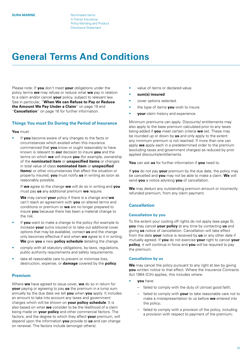# <span id="page-15-0"></span>**General Terms And Conditions**

Please note: If **you** don't meet **your** obligations under the policy terms **we** may refuse or reduce what **we** pay in relation to a claim and/or cancel **your** policy, subject to relevant law. See in particular, "**When We can Refuse to Pay or Reduce the Amount We Pay Under a Claim**" on page 19 and "**Cancellation**" on page 16 for further information.

# **Things You must Do During the Period of Insurance**

#### **You** must:

If you become aware of any changes to the facts or circumstances which existed when this insurance commenced that **you** know or ought reasonably to have known is relevant to **our** decision to insure **you** and the terms on which **we** will insure **you** (for example, ownership of the **nominated item** or **unspecified items** or changes in total value of class **nominated item** or **unspecified items**) or other circumstances that affect the situation or property insured, **you** must notify **us** in writing as soon as reasonably possible.

If **we** agree to the change **we** will do so in writing and **you** must pay **us** any additional premium **we** require.

**We** may cancel **your** policy if there is a change and **we** can't reach an agreement with **you** on altered terms and conditions or premium or **we** are no longer prepared to insure **you** because there has been a material change to the risk.

- If **you** want to make a change to the policy (for example to increase **your** sums insured or to take out additional cover options that may be available), contact **us** and the change only becomes effective if and when **we** agree to it in writing. **We** give **you** a new **policy schedule** detailing the change.
- comply with all statutory obligations, by-laws, regulations, public authority requirements and safety requirements.
- take all reasonable care to prevent or minimise loss, destruction, expense, or **damage** covered by the **policy**.

# **Premium**

Where **we** have agreed to issue cover, **we** do so in return for **your** paying or agreeing to pay **us** the premium in a lump sum annually by the due date we tell **you** when **you** apply. It includes an amount to take into account any taxes and government charges which will be shown on **your policy schedule**. It is also based on what **we** consider to be the likelihood of a claim being made on **your policy** and other commercial factors. The factors, and the degree to which they affect **your** premium, will depend upon the information **you** provide to **us** and can change on renewal. The factors include (amongst others):

- value of items or declared value.
- **sum(s) insured**
- cover options selected.
- the type of items **you** wish to insure.
- **vour** claim history and experience.

Minimum premiums can apply. Discounts/ entitlements may also apply to the base premium calculated prior to any taxes being added if **you** meet certain criteria **we** set. These may be rounded up or down by **us** and only apply to the extent any minimum premium is not reached. If more than one can apply **we** apply each in a predetermined order to the premium (excluding taxes and government charges) as reduced by prior applied discounts/entitlements.

**You** can ask **us** for further information if **you** need to.

If **you** do not pay **your** premium by the due date, the policy may be cancelled and **you** may not be able to make a claim. **We** will send **you** a notice advising **you** of cancellation.

**We** may deduct any outstanding premium amount or incorrectly refunded premium, from any claim payment.

# **Cancellation**

# **Cancellation by you**

To the extent your cooling off rights do not apply (see page 5), **you** may cancel **your policy** at any time by contacting **us** and giving **us** notice of cancellation. Cancellation will take effect from the date **your** notice is received by **us** or any other date if mutually agreed. If **you** do not exercise **your** right to cancel **your policy**, it will continue in force and **you** will be required to pay the premium.

### **Cancellation by us**

**We** may cancel the policy pursuant to any right at law by giving **you** written notice to that effect. Where the Insurance Contracts Act 1984 (Cth) applies, this includes where:

- **you** have:
	- failed to comply with the duty of utmost good faith;
	- failed to comply with **your** to take reasonable care not to make a misrepresentation to us before **we** entered into the policy;
	- failed to comply with a provision of the policy, including a provision with respect to payment of the premium;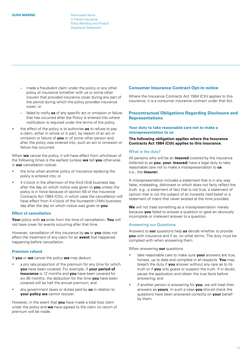- <span id="page-16-0"></span>– made a fraudulent claim under the policy or any other policy of insurance (whether with us or some other insurer) that provided insurance cover during any part of the period during which the policy provides insurance cover; or
- failed to notify **us** of any specific act or omission or failure that has occurred after the Policy is entered into where notification is required under the terms of the policy.
- the effect of the policy is to authorise **us** to refuse to pay a claim, either in whole or in part, by reason of an act or omission or failure of **you** or of some other person and, after the policy was entered into, such an act or omission or failure has occurred.

When **we** cancel the policy, it will have effect from whichever of the following times is the earliest (unless **we** tell **you** otherwise in **our** cancellation notice):

- the time when another policy of insurance replacing the policy is entered into; or
- 4 o'clock in the afternoon of the third (3rd) business day after the day on which notice was given to **you** unless the policy is in force because of section 58 of the Insurance Contracts Act 1984 (Cth), in which case the cancellation will have effect from 4 o'clock of the fourteenth (14th) business day after the day on which notice was given to **you**.

### **Effect of cancellation**

**Your** policy with **us** ends from the time of cancellation. **You** will not have cover for events occurring after that time.

However, cancellation of this insurance by **us** or **you** does not affect the treatment of any claim for an **event** that happened happening before cancellation.

### **Premium refund**

If **you** or **we** cancel the policy **we** may deduct:

- a pro rata proportion of the premium for any time for which **you** have been covered. For example, if **your period of insurance** is 12 months and **you** have been covered for six (6) months, the deduction for the time **you** have been covered will be half the annual premium; and
- any government taxes or duties paid by **us** in relation to **your policy we** cannot recover.

However, in the event that **you** have made a total loss claim under the policy and **we** have agreed to the claim no return of premium will be made.

# **Consumer Insurance Contract Opt-in notice**

Where the Insurance Contracts Act 1984 (Cth) applies to this insurance, it is a consumer insurance contract under that Act.

# **Precontractual Obligations Regarding Disclosure and Representations**

### **Your duty to take reasonable care not to make a misrepresentation to us**

**The following obligation applies where the Insurance Contracts Act 1984 (Cth) applies to this insurance.**

### What is the duty?

All persons who will be an **insured** covered by the insurance (referred to as **you**, **your**, **insured**) have a legal duty to take reasonable care not to make a misrepresentation to **us** (i.e., the **insurer**).

A misrepresentation includes a statement that is in any way false, misleading, dishonest or which does not fairly reflect the truth. e.g., a statement of fact that is not true, a statement of opinion that is not the subject of an honestly held belief or a statement of intent that never existed at the time provided.

**We** will not treat something as a misrepresentation merely because **you** failed to answer a question or gave an obviously incomplete or irrelevant answer to a question.

### Answering our Questions

Answers to **our** questions help **us** decide whether to provide **you** with insurance and if so, on what terms. The duty must be complied with when answering them.

When answering **our** questions:

- take reasonable care to make sure **your** answers are true, honest, up to date and complete in all respects. **You** may breach the duty if **you** answer without any care as to its truth or if **you** only guess or suspect the truth. If in doubt, pause the application and obtain the true facts before answering; and
- if another person is answering for you, we will treat their answers as **yours**. In such a case **you** should check the questions have been answered correctly on **your** behalf by them.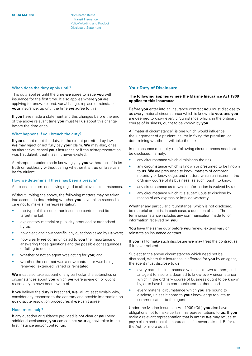#### <span id="page-17-0"></span>When does the duty apply until?

This duty applies until the time **we** agree to issue **you** with insurance for the first time. It also applies where **you** are applying to renew, extend, vary/change, replace or reinstate **your** insurance, up until the time **we** agree to this.

If **you** have made a statement and this changes before the end of the above relevant time **you** must tell **us** about this change before the time ends.

### What happens if you breach the duty?

If **you** do not meet the duty, to the extent permitted by law, **we** may reject or not fully pay **your** claim. **We** may also, or as an alternative, cancel **your** insurance or if the misrepresentation was fraudulent, treat it as if it never existed.

A misrepresentation made knowingly by **you** without belief in its truth or recklessly without caring whether it is true or false can be fraudulent.

#### How we determine if there has been a breach?

A breach is determined having regard to all relevant circumstances.

Without limiting the above, the following matters may be taken into account in determining whether **you** have taken reasonable care not to make a misrepresentation:

- the type of this consumer insurance contract and its target market;
- explanatory material or publicity produced or authorised by **us**;
- how clear, and how specific, any questions asked by **us** were;
- how clearly **we** communicated to **you** the importance of answering those questions and the possible consequences of failing to do so;
- whether or not an agent was acting for **you**; and
- whether the contract was a new contract or was being renewed, extended, varied or reinstated.

**We** must also take account of any particular characteristics or circumstances about **you** which **we** were aware of, or ought reasonably to have been aware of.

If **we** believe the duty is breached, **we** will at least explain why, consider any response to the contrary and provide information on **our** dispute resolution procedures if **we** can't agree.

# Need more help?

If any question or guidance provided is not clear or **you** need additional assistance, **you** can contact **your** agent/broker in the first instance and/or contact **us**.

# **Your Duty of Disclosure**

### **The following applies where the Marine Insurance Act 1909 applies to this insurance.**

Before **you** enter into an insurance contract **you** must disclose to us every material circumstance which is known to **you**, and **you** are deemed to know every circumstance which, in the ordinary course of business, ought to be known by **you**.

A "material circumstance" is one which would influence the judgement of a prudent insurer in fixing the premium, or determining whether it will take the risk.

In the absence of inquiry the following circumstances need not be disclosed, namely:

- any circumstance which diminishes the risk;
- any circumstance which is known or presumed to be known to **us**. **We** are presumed to know matters of common notoriety or knowledge, and matters which an insurer in the ordinary course of its business, as such, ought to know;
- any circumstance as to which information is waived by **us**;
- any circumstance which it is superfluous to disclose by reason of any express or implied warranty.

Whether any particular circumstance, which is not disclosed, be material or not is, in each case, a question of fact. The term circumstance includes any communication made to, or information received by, **you**.

**You** have the same duty before **you** renew, extend vary or reinstate an insurance contract.

If **you** fail to make such disclosure **we** may treat the contract as if it never existed.

Subject to the above circumstances which need not be disclosed, where this insurance is effected for **you** by an agent, the agent must disclose to **us**:

- every material circumstance which is known to them, and an agent to insure is deemed to know every circumstance which in the ordinary course of business ought to be known by, or to have been communicated to, them; and
- every material circumstance which **you** are bound to disclose, unless it come to **your** knowledge too late to communicate it to the agent.

Under the Marine Insurance Act 1909 (Cth) **you** also have obligations not to make certain misrepresentations to **us**. If **you** make a relevant representation that is untrue **we** may refuse to pay a claim and treat the contract as if it never existed. Refer to the Act for more detail.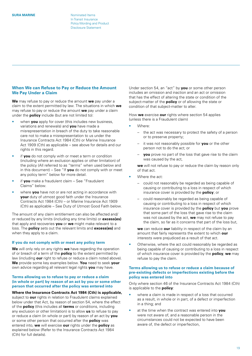# <span id="page-18-0"></span>**When We can Refuse to Pay or Reduce the Amount We Pay Under a Claim**

**We** may refuse to pay or reduce the amount **we** pay under a claim to the extent permitted by law. The situations in which **we** may refuse to pay or reduce the amount **we** pay under a claim under the **policy** include (but are not limited to):

- when **you** apply for cover (this includes new business, variations and renewals) and **you** have made a misrepresentation in breach of the duty to take reasonable care not to make a misrepresentation to us under the Insurance Contracts Act 1984 (Cth) or Marine Insurance Act 1909 (Cth) as applicable – see above for details and our rights in this regard.
- if **you** do not comply with or meet a term or condition (including where an exclusion applies or other limitation) of the policy (All referred to as "terms" when used below and in this document) – See "If **you** do not comply with or meet any policy term" below for more detail.
- if **you** make a fraudulent claim See "Fraudulent Claims" below.
- where **you** have not or are not acting in accordance with **your** duty of utmost good faith under the Insurance Contracts Act 1984 (Cth) – or Marine Insurance Act 1909 (Cth) as applicable – See Duty of Utmost Good Faith below.

The amount of any claim entitlement can also be affected and/ or reduced by any limits (including any time limits) or **excess(es)** that apply and recoveries **you** or **we** might make relevant to a loss. The **policy** sets out the relevant limits and **excess(es)** and when they apply to a claim.

# **If you do not comply with or meet any policy term**

**We** will only rely on any rights **we** have regarding the operation of or breach of a term of the **policy** to the extent permitted by law (including **our** right to refuse or reduce a claim noted above). **We** provide some key examples below. **You** need to seek **your** own advice regarding all relevant legal rights **you** may have.

#### **Terms allowing us to refuse to pay or reduce a claim (in whole or part) by reason of an act by you or some other person that occurred after the policy was entered into**

# **Where the Insurance Contracts Act 1984 (Cth) is applicable,**

subject to **our** rights in relation to Fraudulent claims explained below under that Act, by reason of section 54, where the effect of the **policy** (this includes all **terms** or conditions, including any exclusion or other limitation) is to allow **us** to refuse to pay or reduce a claim (in whole or part) by reason of an act by **you** or some other person that occurred after the **policy** was entered into, **we** will exercise **our** rights under the **policy** as explained below (Refer to the Insurance Contracts Act 1984 (Cth) for full details).

Under section 54, an "act" by **you** or some other person includes an omission and inaction and an act or omission that has the effect of altering the state or condition of the subject-matter of the **policy** or of allowing the state or condition of that subject-matter to alter.

How **we** exercise **our** rights where section 54 applies (unless there is a Fraudulent claim)

- Where:
	- the act was necessary to protect the safety of a person or to preserve property;
	- it was not reasonably possible for **you** or the other person not to do the act; or
	- **you** prove no part of the loss that gave rise to the claim was caused by the act,

**we** will not refuse to pay or reduce the claim by reason only of that act.

- Where the act:
	- could not reasonably be regarded as being capable of causing or contributing to a loss in respect of which insurance cover is provided by the **policy**; or
	- could reasonably be regarded as being capable of causing or contributing to a loss in respect of which insurance cover is provided by the **policy** but **you** prove that some part of the loss that gave rise to the claim was not caused by the act, **we** may not refuse to pay the claim, so far as it concerns that part of the loss but,

**we** can reduce **our** liability in respect of the claim by an amount that fairly represents the extent to which **our** interests were prejudiced as a result of that act.

• Otherwise, where the act could reasonably be regarded as being capable of causing or contributing to a loss in respect of which insurance cover is provided by the **policy**, **we** may refuse to pay the claim.

#### **Terms allowing us to refuse or reduce a claim because of pre-existing defects or imperfections existing before the policy was entered into**

Only where section 46 of the Insurance Contracts Act 1984 (Cth) is applicable to the **policy**:

- where a claim is made in respect of a loss that occurred as a result, in whole or in part, of a defect or imperfection in a thing; and
- at the time when the contract was entered into **you** were not aware of, and a reasonable person in the circumstances could not be expected to have been aware of, the defect or imperfection,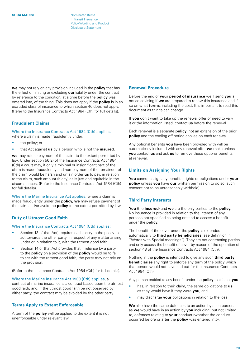<span id="page-19-0"></span>**we** may not rely on any provision included in the **policy** that has the effect of limiting or excluding **our** liability under the contract by reference to the condition, at a time before the **policy** was entered into, of the thing. This does not apply if the **policy** is in an excluded class of insurance to which section 46 does not apply. (Refer to the Insurance Contracts Act 1984 (Cth) for full details).

# **Fraudulent Claims**

Where the Insurance Contracts Act 1984 (Cth) applies, where a claim is made fraudulently under:

- the policy; or
- that Act against **us** by a person who is not the **insured**,

**we** may refuse payment of the claim to the extent permitted by law. Under section 56(2) of the Insurance Contracts Act 1984 (Cth) a court may, if only a minimal or insignificant part of the claim is made fraudulently and non-payment of the remainder of the claim would be harsh and unfair, order **us** to pay, in relation to the claim, such amount (if any) as is just and equitable in the circumstances. (Refer to the Insurance Contracts Act 1984 (Cth) for full details).

Where the Marine Insurance Act applies, where a claim is made fraudulently under the **policy**, **we** may refuse payment of the claim and/or avoid the **policy** to the extent permitted by law.

### **Duty of Utmost Good Faith**

#### Where the Insurance Contracts Act 1984 (Cth) applies:

- Section 13 of that Act) requires each party to the policy to act towards the other party, in respect of any matter arising under or in relation to it, with the utmost good faith.
- Section 14 of that Act provides that if reliance by a party to the **policy** on a provision of the **policy** would be to fail to act with the utmost good faith, the party may not rely on the provision.

(Refer to the Insurance Contracts Act 1984 (Cth) for full details).

### Where the Marine Insurance Act 1909 (Cth) applies, a

contract of marine insurance is a contract based upon the utmost good faith, and, if the utmost good faith be not observed by either party, the contract may be avoided by the other party.

# **Terms Apply to Extent Enforceable**

A term of the **policy** will be applied to the extent it is not unenforceable under relevant law.

# **Renewal Procedure**

Before the end of **your period of insurance** we'll send **you** a notice advising if **we** are prepared to renew this insurance and if so on what **terms**, including the cost. It is important to read this document as things can change.

If **you** don't want to take up the renewal offer or need to vary it or the information listed, contact **us** before the renewal.

Each renewal is a separate **policy**, not an extension of the prior **policy** and the cooling off period applies on each renewal.

Any optional benefits **you** have been provided with will be automatically included with any renewal offer **we** make unless **you** contact **us** and ask **us** to remove these optional benefits at renewal.

# **Limits on Assigning Your Rights**

**You** cannot assign any benefits, rights or obligations under **your policy** unless **you** have **our** written permission to do so (such consent not to be unreasonably withheld).

### **Third Party Interests**

**You** (the **insured**) and **we** are the only parties to the **policy**. No insurance is provided in relation to the interest of any persons not specified as being entitled to access a benefit under the **policy**.

The benefit of the cover under the **policy** is extended automatically to **third party beneficiaries** (see definition in "Words with Special meanings"). They are not contracting parties and only access the benefit of cover by reason of the operation of section 48 of the Insurance Contracts Act 1984 (Cth).

Nothing in the **policy** is intended to give any such **third party beneficiaries** any right to enforce any term of the policy which that person would not have had but for the Insurance Contracts Act 1984 (Cth).

Any person entitled to any benefit under the **policy** that is not **you**:

- has, in relation to their claim, the same obligations to **us** as they would have if they were **you**; and
- may discharge **your** obligations in relation to the loss.

**We** also have the same defences to an action by such persons as **we** would have in an action by **you** including, but not limited to, defences relating to **your** conduct (whether the conduct occurred before or after the **policy** was entered into).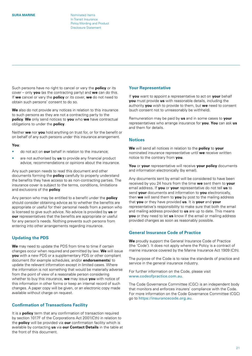<span id="page-20-0"></span>In Transit Insurance Policy Wording and Product Disclosure Statement

Such persons have no right to cancel or vary the **policy** or its cover – only **you** (as the contracting party) and **we** can do this. If **we** cancel or vary the **policy** or its cover, **we** do not need to obtain such persons' consent to do so.

**We** also do not provide any notices in relation to this insurance to such persons as they are not a contracting party to the **policy**. **We** only send notices to **you** who **we** have contractual obligations to under the **policy**.

Neither **we** nor **you** hold anything on trust for, or for the benefit or on behalf of any such persons under this insurance arrangement.

#### **You**:

- do not act on **our** behalf in relation to the insurance;
- are not authorised by **us** to provide any financial product advice, recommendations or opinions about the insurance.

Any such person needs to read this document and other documents forming the **policy** carefully to properly understand the benefits they have access to as non-contracting parties. The insurance cover is subject to the terms, conditions, limitations and exclusions of the **policy**.

Any person who may be entitled to a benefit under the **policy** should consider obtaining advice as to whether the benefits are appropriate or useful for their personal needs from a person who is licensed to give such advice. No advice is provided by **us** or **our** representatives that the benefits are appropriate or useful for any person's needs. Nothing prevents such persons from entering into other arrangements regarding insurance.

# **Updating the PDS**

**We** may need to update the PDS from time to time if certain changes occur when required and permitted by law. **We** will issue **you** with a new PDS or a supplementary PDS or other compliant document (for example schedules, and/or **endorsements**) to update the relevant information except in limited cases. Where the information is not something that would be materially adverse from the point of view of a reasonable person considering whether to buy this insurance, **we** may issue **you** with notice of this information in other forms or keep an internal record of such changes. A paper copy will be given, or an electronic copy made available without charge on request.

# **Confirmation of Transactions Facility**

It is a **policy** term that any confirmation of transaction required by section 1017F of the Corporations Act 2001(Cth) in relation to the **policy** will be provided via **our** confirmation facility which is available by contacting **us** via **our Contact Details** in the table at the front of this document.

# **Your Representative**

If **you** want to appoint a representative to act on **your** behalf **you** must provide **us** with reasonable details, including the authority **you** wish to provide to them, but **we** need to consent (such consent not to unreasonably be withheld).

Remuneration may be paid by **us** and in some cases to **your** representatives who arrange insurance for **you**. **You** can ask **us** and them for details.

# **Notices**

**We** will send all notices in relation to the **policy** to **your** nominated insurance representative until **we** receive written notice to the contrary from **you**.

**You** or **your** representative will receive **your policy** documents and information electronically (by email).

Any documents sent by email will be considered to have been received by you 24 hours from the time **we** sent them to **your** email address. If **you** or **your** representative do not tell **us** to send **your** documents and information to **you** electronically, then **we** will send them to **you** by post to the mailing address that **you** or they have provided **us**. It is **your** and **your** representative's responsibility to make sure that both the email and mailing address provided to **us** are up to date. This means **you** or they need to let **us** know if the email or mailing address provided changes as soon as reasonably possible.

# **General Insurance Code of Practice**

**We** proudly support the General Insurance Code of Practice (the 'Code'). It does not apply where the Policy is a contract of marine insurance covered by the Marine Insurance Act 1909 (Cth).

The purpose of the Code is to raise the standards of practice and service in the general insurance industry.

For further information on the Code, please visit [www.codeofpractice.com.au](http://www.codeofpractice.com.au).

The Code Governance Committee (CGC) is an independent body that monitors and enforces insurers' compliance with the Code. For more information on the Code Governance Committee (CGC) go to <https://insurancecode.org.au>.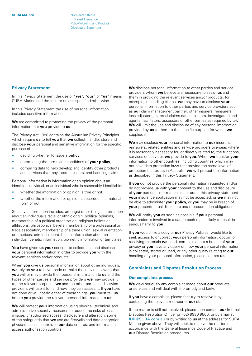# <span id="page-21-0"></span>**Privacy Statement**

In this Privacy Statement the use of "**we**", "**our**" or "**us**" means SURA Marine and the Insurer unless specified otherwise.

In this Privacy Statement the use of personal information includes sensitive information.

**We** are committed to protecting the privacy of the personal information that **you** provide to **us**.

The Privacy Act 1988 contains the Australian Privacy Principles which require **us** to tell **you** that **we** collect, handle, store and disclose **your** personal and sensitive information for the specific purpose of:

- deciding whether to issue a **policy**,
- determining the terms and conditions of **your policy**,
- compiling data to help develop and identify other products and services that may interest clients, and handling claims.

Personal information is information or an opinion about an identified individual, or an individual who is reasonably identifiable:

- whether the information or opinion is true or not;
- whether the information or opinion is recorded in a material form or not.

Sensitive information includes, amongst other things, information about an individual's racial or ethnic origin, political opinions, membership of a political organisation, religious beliefs or affiliations, philosophical beliefs, membership of a professional or trade association, membership of a trade union, sexual orientation or practices, criminal record, health information about an individual, genetic information, biometric information or templates.

**You** have given **us your** consent to collect, use and disclose **your** personal information in order to provide **you** with the relevant services and/or products.

When **you** give **us** personal information about other individuals, **we** rely on **you** to have made or make the individual aware that **you** will or may provide their personal information to **us** and the types of other parties and service providers **we** may provide it to, the relevant purposes **we** and the other parties and service providers will use it for, and how they can access it. If **you** have not done or will not do either of these things, **you** must tell **us** before **you** provide the relevant personal information to **us**.

**We** will protect **your** information using physical, technical, and administrative security measures to reduce the risks of loss, misuse, unauthorised access, disclosure and alteration. some of the safeguards that **we** use are firewalls and data encryption, physical access controls to **our** data centres, and information access authorisation controls.

**We** disclose personal information to other parties and service providers whom **we** believe are necessary to assist **us** and them in providing the relevant services and/or products. for example, in handling claims, **we** may have to disclose **your** personal information to other parties and service providers such as **our** claim management partner, other insurers, reinsurers, loss adjusters, external claims data collectors, investigators and agents, facilitators, assessors or other parties as required by law. **We** will limit the use and disclosure of any personal information provided by **us** to them to the specific purpose for which **we** supplied it.

**We** may disclose **your** personal information to **our** insurers, reinsurers, related entities and service providers overseas where it is reasonably necessary for, or directly related to, the functions, services or activities **we** provide to **you**. When **we** transfer **your** information to other countries, including countries which may not have data protection laws that provide the same level of protection that exists in Australia, **we** will protect the information as described in this Privacy Statement.

If **you** do not provide the personal information requested and/or do not provide **us** with **your** consent to the use and disclosure of **your** personal information as set out in this privacy statement, **your** insurance application may not be accepted, or **we** may not be able to administer **your policy**, or **you** may be in breach of **your** precontractual disclosure and representation obligations.

**We** will notify **you** as soon as possible if **your** personal information is involved in a data breach that is likely to result in serious harm to **you**.

If **you** would like a copy of **our** Privacy Policies, would like to seek access to or correct **your** personal information, opt out of receiving materials **we** send, complain about a breach of **your** privacy or **you** have any query on how **your** personal information is collected, stored or used, or any other query relating to **our** handling of your personal information, please contact **us**.

# **Complaints and Disputes Resolution Process**

#### **Our complaints process**

**We** view seriously any complaint made about **our** products or services and will deal with it promptly and fairly.

If **you** have a complaint, please first try to resolve it by contacting the relevant member of **our** staff.

If the matter is still not resolved, please then contact **our** Internal Disputes Resolution Officer on (02) 9930 9500, or by email at [IDR@SURA.com.au](mailto:IDR%40SURA.com.au?subject=) or by writing to **us** at the address for SURA Marine given above. They will seek to resolve the matter in accordance with the General Insurance Code of Practice and **our** Dispute Resolution procedures.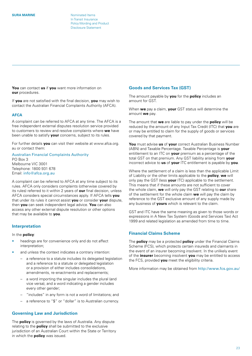<span id="page-22-0"></span>In Transit Insurance Policy Wording and Product Disclosure Statement

**You** can contact **us** if **you** want more information on **our** procedures.

If **you** are not satisfied with the final decision, **you** may wish to contact the Australian Financial Complaints Authority (AFCA).

#### **AFCA**

A complaint can be referred to AFCA at any time. The AFCA is a free independent external disputes resolution service provided to customers to review and resolve complaints where **we** have been unable to satisfy **your** concerns, subject to its rules.

For further details **you** can visit their website at www.afca.org. au or contact them:

Australian Financial Complaints Authority PO Box 3 Melbourne VIC 3001 Telephone: 1800 931 678 Email: [info@afca.org.au](mailto:info%40afca.org.au?subject=)

A complaint can be referred to AFCA at any time subject to its rules. AFCA only considers complaints (otherwise covered by its rules) referred to it within 2 years of **our** final decision, unless AFCA considers special circumstances apply. If AFCA tells **you** that under its rules it cannot assist **you** or consider **your** dispute, then **you** can seek independent legal advice. **You** can also access any other external dispute resolution or other options that may be available to **you**.

### **Interpretation**

#### In the **policy**:

- headings are for convenience only and do not affect interpretation;
- and unless the context indicates a contrary intention:
	- a reference to a statute includes its delegated legislation and a reference to a statute or delegated legislation or a provision of either includes consolidations, amendments, re-enactments and replacements;
	- a word importing the singular includes the plural (and vice versa), and a word indicating a gender includes every other gender;
	- "includes" in any form is not a word of limitations; and
	- a reference to "\$" or "dollar" is to Australian currency.

# **Governing Law and Jurisdiction**

The **policy** is governed by the laws of Australia. Any dispute relating to the **policy** shall be submitted to the exclusive jurisdiction of an Australian Court within the State or Territory in which the **policy** was issued.

### **Goods and Services Tax (GST)**

The amount payable by **you** for the **policy** includes an amount for GST.

When **we** pay a claim, **your** GST status will determine the amount **we** pay.

The amount that **we** are liable to pay under the **policy** will be reduced by the amount of any Input Tax Credit (ITC) that **you** are or may be entitled to claim for the supply of goods or services covered by that payment.

**You** must advise **us** of **your** correct Australian Business Number (ABN) and Taxable Percentage. Taxable Percentage is **your** entitlement to an ITC on **your** premium as a percentage of the total GST on that premium. Any GST liability arising from **your** incorrect advice to **us** of **your** ITC entitlement is payable by **you**.

Where the settlement of a claim is less than the applicable Limit of Liability or the other limits applicable to the **policy**, **we** will only pay the GST (less **your** ITC) applicable to the settlement. This means that if these amounts are not sufficient to cover the whole claim, **we** will only pay the GST relating to **our** share of the settlement for the whole claim **we** will pay the claim by reference to the GST exclusive amount of any supply made by any business of **yours** which is relevant to the claim.

GST and ITC have the same meaning as given to those words or expressions in A New Tax System (Goods and Services Tax) Act 1999 and related legislation as amended from time to time.

# **Financial Claims Scheme**

The **policy** may be a protected **policy** under the Financial Claims Scheme (FCS), which protects certain insureds and claimants in the event of an insurer becoming insolvent. In the unlikely event of the **insurer** becoming insolvent **you** may be entitled to access the FCS, provided **you** meet the eligibility criteria.

More information may be obtained from <http://www.fcs.gov.au/>